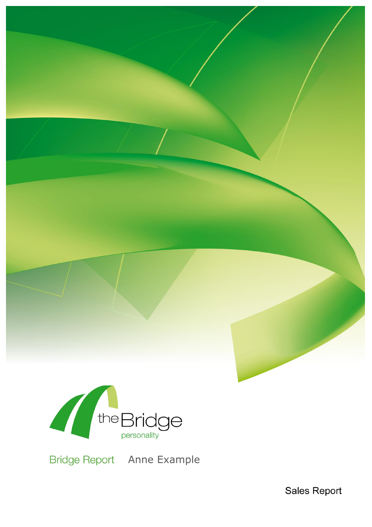

Bridge Report Anne Example

**Sales Report**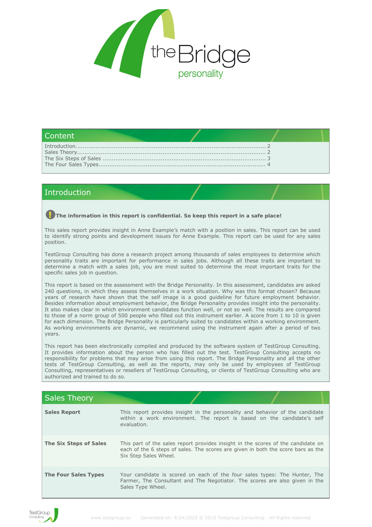

## Content

# <span id="page-1-0"></span>Introduction

### **The information in this report is confidential. So keep this report in a safe place!**

This sales report provides insight in Anne Example's match with a position in sales. This report can be used to identify strong points and development issues for Anne Example. This report can be used for any sales position.

TestGroup Consulting has done a research project among thousands of sales employees to determine which personality traits are important for performance in sales jobs. Although all these traits are important to determine a match with a sales job, you are most suited to determine the most important traits for the specific sales job in question.

This report is based on the assessment with the Bridge Personality. In this assessment, candidates are asked 240 questions, in which they assess themselves in a work situation. Why was this format chosen? Because years of research have shown that the self image is a good guideline for future employment behavior. Besides information about employment behavior, the Bridge Personality provides insight into the personality. It also makes clear in which environment candidates function well, or not so well. The results are compared to those of a norm group of 500 people who filled out this instrument earlier. A score from 1 to 10 is given for each dimension. The Bridge Personality is particularly suited to candidates within a working environment. As working environments are dynamic, we recommend using the instrument again after a period of two years.

This report has been electronically compiled and produced by the software system of TestGroup Consulting. It provides information about the person who has filled out the test. TestGroup Consulting accepts no responsibility for problems that may arise from using this report. The Bridge Personality and all the other tests of TestGroup Consulting, as well as the reports, may only be used by employees of TestGroup Consulting, representatives or resellers of TestGroup Consulting, or clients of TestGroup Consulting who are authorized and trained to do so.

<span id="page-1-1"></span>

| <b>Sales Theory</b>    |                                                                                                                                                                                               |  |
|------------------------|-----------------------------------------------------------------------------------------------------------------------------------------------------------------------------------------------|--|
| <b>Sales Report</b>    | This report provides insight in the personality and behavior of the candidate<br>within a work environment. The report is based on the candidate's self<br>evaluation.                        |  |
| The Six Steps of Sales | This part of the sales report provides insight in the scores of the candidate on<br>each of the 6 steps of sales. The scores are given in both the score bars as the<br>Six Step Sales Wheel. |  |
| The Four Sales Types   | Your candidate is scored on each of the four sales types: The Hunter, The<br>Farmer, The Consultant and The Negotiator. The scores are also given in the<br>Sales Type Wheel.                 |  |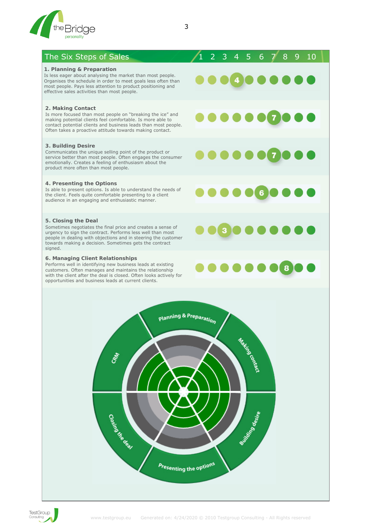

## <span id="page-2-0"></span>The Six Steps of Sales 1 2 3 4 5 6 7 8 9 10

### **1. Planning & Preparation**

Is less eager about analysing the market than most people. Organises the schedule in order to meet goals less often than most people. Pays less attention to product positioning and effective sales activities than most people.

#### **2. Making Contact**

Is more focused than most people on "breaking the ice" and making potential clients feel comfortable. Is more able to contact potential clients and business leads than most people. Often takes a proactive attitude towards making contact.

#### **3. Building Desire**

Communicates the unique selling point of the product or service better than most people. Often engages the consumer emotionally. Creates a feeling of enthusiasm about the product more often than most people.

#### **4. Presenting the Options**

Is able to present options. Is able to understand the needs of the client. Feels quite comfortable presenting to a client audience in an engaging and enthusiastic manner.

#### **5. Closing the Deal**

Sometimes negotiates the final price and creates a sense of urgency to sign the contract. Performs less well than most people in dealing with objections and in steering the customer towards making a decision. Sometimes gets the contract signed.

## **6. Managing Client Relationships**

Performs well in identifying new business leads at existing customers. Often manages and maintains the relationship with the client after the deal is closed. Often looks actively for opportunities and business leads at current clients.



 $\mathbf{3}$ 

8